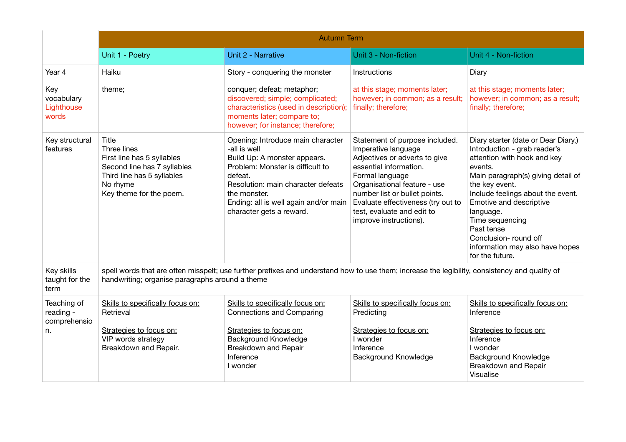|                                                | <b>Autumn Term</b>                                                                                                                                                                               |                                                                                                                                                                                                                                                             |                                                                                                                                                                                                                                                                                                    |                                                                                                                                                                                                                                                                                                                                                                    |  |  |
|------------------------------------------------|--------------------------------------------------------------------------------------------------------------------------------------------------------------------------------------------------|-------------------------------------------------------------------------------------------------------------------------------------------------------------------------------------------------------------------------------------------------------------|----------------------------------------------------------------------------------------------------------------------------------------------------------------------------------------------------------------------------------------------------------------------------------------------------|--------------------------------------------------------------------------------------------------------------------------------------------------------------------------------------------------------------------------------------------------------------------------------------------------------------------------------------------------------------------|--|--|
|                                                | Unit 1 - Poetry                                                                                                                                                                                  | Unit 2 - Narrative                                                                                                                                                                                                                                          | Unit 3 - Non-fiction                                                                                                                                                                                                                                                                               | Unit 4 - Non-fiction                                                                                                                                                                                                                                                                                                                                               |  |  |
| Year 4                                         | Haiku                                                                                                                                                                                            | Story - conquering the monster                                                                                                                                                                                                                              | Instructions                                                                                                                                                                                                                                                                                       | Diary                                                                                                                                                                                                                                                                                                                                                              |  |  |
| Key<br>vocabulary<br>Lighthouse<br>words       | theme;                                                                                                                                                                                           | conquer; defeat; metaphor;<br>discovered; simple; complicated;<br>characteristics (used in description);<br>moments later; compare to;<br>however; for instance; therefore;                                                                                 | at this stage; moments later;<br>however; in common; as a result;<br>finally; therefore;                                                                                                                                                                                                           | at this stage; moments later;<br>however; in common; as a result;<br>finally; therefore;                                                                                                                                                                                                                                                                           |  |  |
| Key structural<br>features                     | Title<br>Three lines<br>First line has 5 syllables<br>Second line has 7 syllables<br>Third line has 5 syllables<br>No rhyme<br>Key theme for the poem.                                           | Opening: Introduce main character<br>-all is well<br>Build Up: A monster appears.<br>Problem: Monster is difficult to<br>defeat.<br>Resolution: main character defeats<br>the monster.<br>Ending: all is well again and/or main<br>character gets a reward. | Statement of purpose included.<br>Imperative language<br>Adjectives or adverts to give<br>essential information.<br>Formal language<br>Organisational feature - use<br>number list or bullet points.<br>Evaluate effectiveness (try out to<br>test, evaluate and edit to<br>improve instructions). | Diary starter (date or Dear Diary,)<br>Introduction - grab reader's<br>attention with hook and key<br>events.<br>Main paragraph(s) giving detail of<br>the key event.<br>Include feelings about the event.<br>Emotive and descriptive<br>language.<br>Time sequencing<br>Past tense<br>Conclusion- round off<br>information may also have hopes<br>for the future. |  |  |
| Key skills<br>taught for the<br>term           | spell words that are often misspelt; use further prefixes and understand how to use them; increase the legibility, consistency and quality of<br>handwriting; organise paragraphs around a theme |                                                                                                                                                                                                                                                             |                                                                                                                                                                                                                                                                                                    |                                                                                                                                                                                                                                                                                                                                                                    |  |  |
| Teaching of<br>reading -<br>comprehensio<br>n. | Skills to specifically focus on:<br>Retrieval<br>Strategies to focus on:                                                                                                                         | Skills to specifically focus on:<br><b>Connections and Comparing</b><br>Strategies to focus on:                                                                                                                                                             | Skills to specifically focus on:<br>Predicting<br>Strategies to focus on:                                                                                                                                                                                                                          | Skills to specifically focus on:<br>Inference<br>Strategies to focus on:                                                                                                                                                                                                                                                                                           |  |  |
|                                                | VIP words strategy<br>Breakdown and Repair.                                                                                                                                                      | <b>Background Knowledge</b><br>Breakdown and Repair<br>Inference<br>I wonder                                                                                                                                                                                | I wonder<br>Inference<br><b>Background Knowledge</b>                                                                                                                                                                                                                                               | Inference<br>I wonder<br><b>Background Knowledge</b><br>Breakdown and Repair<br>Visualise                                                                                                                                                                                                                                                                          |  |  |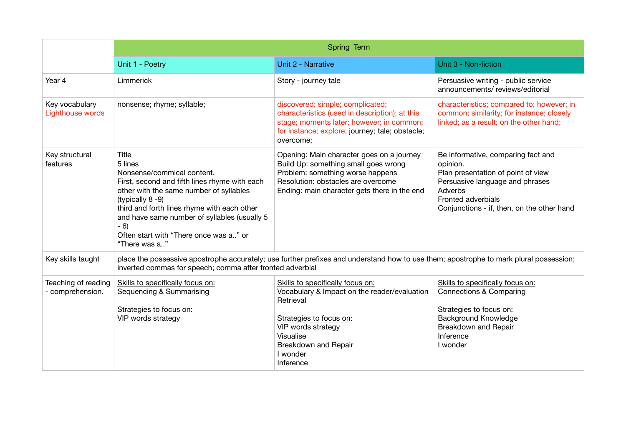|                                         | Spring Term                                                                                                                                                                                                                                                                                                                     |                                                                                                                                                                                                              |                                                                                                                                                                                                        |  |  |
|-----------------------------------------|---------------------------------------------------------------------------------------------------------------------------------------------------------------------------------------------------------------------------------------------------------------------------------------------------------------------------------|--------------------------------------------------------------------------------------------------------------------------------------------------------------------------------------------------------------|--------------------------------------------------------------------------------------------------------------------------------------------------------------------------------------------------------|--|--|
|                                         | Unit 1 - Poetry                                                                                                                                                                                                                                                                                                                 | Unit 2 - Narrative                                                                                                                                                                                           | Unit 3 - Non-fiction                                                                                                                                                                                   |  |  |
| Year 4                                  | Limmerick                                                                                                                                                                                                                                                                                                                       | Story - journey tale                                                                                                                                                                                         | Persuasive writing - public service<br>announcements/reviews/editorial                                                                                                                                 |  |  |
| Key vocabulary<br>Lighthouse words      | nonsense; rhyme; syllable;                                                                                                                                                                                                                                                                                                      | discovered; simple; complicated;<br>characteristics (used in description); at this<br>stage; moments later; however; in common;<br>for instance; explore; journey; tale; obstacle;<br>overcome;              | characteristics; compared to; however; in<br>common; similarity; for instance; closely<br>linked; as a result; on the other hand;                                                                      |  |  |
| Key structural<br>features              | Title<br>5 lines<br>Nonsense/commical content.<br>First, second and fifth lines rhyme with each<br>other with the same number of syllables<br>(typically 8-9)<br>third and forth lines rhyme with each other<br>and have same number of syllables (usually 5<br>$-6$<br>Often start with "There once was a" or<br>"There was a" | Opening: Main character goes on a journey<br>Build Up: something small goes wrong<br>Problem: something worse happens<br>Resolution: obstacles are overcome<br>Ending: main character gets there in the end  | Be informative, comparing fact and<br>opinion.<br>Plan presentation of point of view<br>Persuasive language and phrases<br>Adverbs<br>Fronted adverbials<br>Conjunctions - if, then, on the other hand |  |  |
| Key skills taught                       | place the possessive apostrophe accurately; use further prefixes and understand how to use them; apostrophe to mark plural possession;<br>inverted commas for speech; comma after fronted adverbial                                                                                                                             |                                                                                                                                                                                                              |                                                                                                                                                                                                        |  |  |
| Teaching of reading<br>- comprehension. | Skills to specifically focus on:<br>Sequencing & Summarising<br>Strategies to focus on:<br>VIP words strategy                                                                                                                                                                                                                   | Skills to specifically focus on:<br>Vocabulary & Impact on the reader/evaluation<br>Retrieval<br>Strategies to focus on:<br>VIP words strategy<br>Visualise<br>Breakdown and Repair<br>I wonder<br>Inference | Skills to specifically focus on:<br><b>Connections &amp; Comparing</b><br>Strategies to focus on:<br>Background Knowledge<br>Breakdown and Repair<br>Inference<br>I wonder                             |  |  |